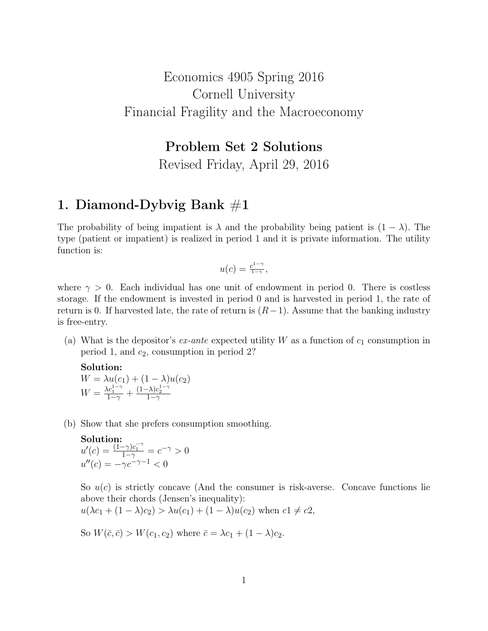# Economics 4905 Spring 2016 Cornell University Financial Fragility and the Macroeconomy

## Problem Set 2 Solutions

Revised Friday, April 29, 2016

### 1. Diamond-Dybvig Bank  $\#1$

The probability of being impatient is  $\lambda$  and the probability being patient is  $(1 - \lambda)$ . The type (patient or impatient) is realized in period 1 and it is private information. The utility function is:

$$
u(c) = \frac{c^{1-\gamma}}{1-\gamma},
$$

where  $\gamma > 0$ . Each individual has one unit of endowment in period 0. There is costless storage. If the endowment is invested in period 0 and is harvested in period 1, the rate of return is 0. If harvested late, the rate of return is  $(R-1)$ . Assume that the banking industry is free-entry.

(a) What is the depositor's  $ex$ -ante expected utility W as a function of  $c_1$  consumption in period 1, and  $c_2$ , consumption in period 2?

Solution:  $W = \lambda u(c_1) + (1 - \lambda)u(c_2)$  $W = \frac{\lambda c_1^{1-\gamma}}{1-\gamma} + \frac{(1-\lambda)c_2^{1-\gamma}}{1-\gamma}$ 

(b) Show that she prefers consumption smoothing.

**Solution:**  
\n
$$
u'(c) = \frac{(1-\gamma)c_1^{-\gamma}}{1-\gamma} = c^{-\gamma} > 0
$$
  
\n $u''(c) = -\gamma c^{-\gamma-1} < 0$ 

So  $u(c)$  is strictly concave (And the consumer is risk-averse. Concave functions lie above their chords (Jensen's inequality):

$$
u(\lambda c_1 + (1 - \lambda)c_2) > \lambda u(c_1) + (1 - \lambda)u(c_2)
$$
 when  $c1 \neq c2$ ,

So  $W(\bar{c}, \bar{c}) > W(c_1, c_2)$  where  $\bar{c} = \lambda c_1 + (1 - \lambda)c_2$ .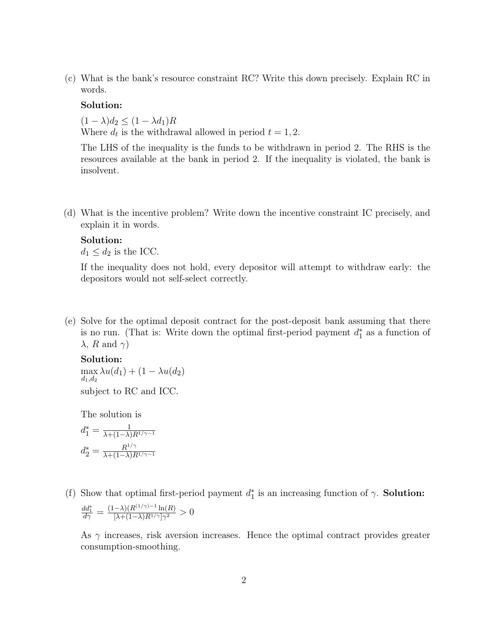(c) What is the bank's resource constraint RC? Write this down precisely. Explain RC in words.

### Solution:

 $(1 - \lambda)d_2 \leq (1 - \lambda d_1)R$ Where  $d_t$  is the withdrawal allowed in period  $t = 1, 2$ .

The LHS of the inequality is the funds to be withdrawn in period 2. The RHS is the resources available at the bank in period 2. If the inequality is violated, the bank is insolvent.

(d) What is the incentive problem? Write down the incentive constraint IC precisely, and explain it in words.

#### Solution:

 $d_1 \leq d_2$  is the ICC.

If the inequality does not hold, every depositor will attempt to withdraw early: the depositors would not self-select correctly.

(e) Solve for the optimal deposit contract for the post-deposit bank assuming that there is no run. (That is: Write down the optimal first-period payment  $d_1^*$  as a function of  $\lambda$ , R and  $\gamma$ )

### Solution:

max  $\max_{d_1,d_2} \lambda u(d_1) + (1 - \lambda u(d_2))$ subject to RC and ICC.

The solution is

$$
d_1^* = \frac{1}{\lambda + (1 - \lambda)R^{1/\gamma - 1}}
$$

$$
d_2^* = \frac{R^{1/\gamma}}{\lambda + (1 - \lambda)R^{1/\gamma - 1}}
$$

(f) Show that optimal first-period payment  $d_1^*$  is an increasing function of  $\gamma$ . **Solution:**  $\frac{dd_1^*}{d\gamma} = \frac{(1-\lambda)(R^{(1/\gamma)-1}\ln(R)}{[\lambda+(1-\lambda)R^{1/\gamma}]\gamma^2}$  $\frac{-\lambda \left(\mathbf{R}^{N}\right)^{N}}{\left[\lambda+(1-\lambda)R^{1/\gamma}\right]\gamma^2} > 0$ 

As  $\gamma$  increases, risk aversion increases. Hence the optimal contract provides greater consumption-smoothing.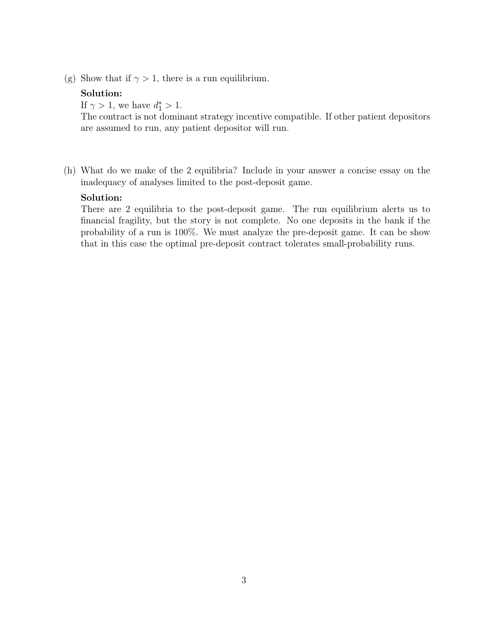(g) Show that if  $\gamma > 1$ , there is a run equilibrium.

### Solution:

If  $\gamma > 1$ , we have  $d_1^* > 1$ .

The contract is not dominant strategy incentive compatible. If other patient depositors are assumed to run, any patient depositor will run.

(h) What do we make of the 2 equilibria? Include in your answer a concise essay on the inadequacy of analyses limited to the post-deposit game.

### Solution:

There are 2 equilibria to the post-deposit game. The run equilibrium alerts us to financial fragility, but the story is not complete. No one deposits in the bank if the probability of a run is 100%. We must analyze the pre-deposit game. It can be show that in this case the optimal pre-deposit contract tolerates small-probability runs.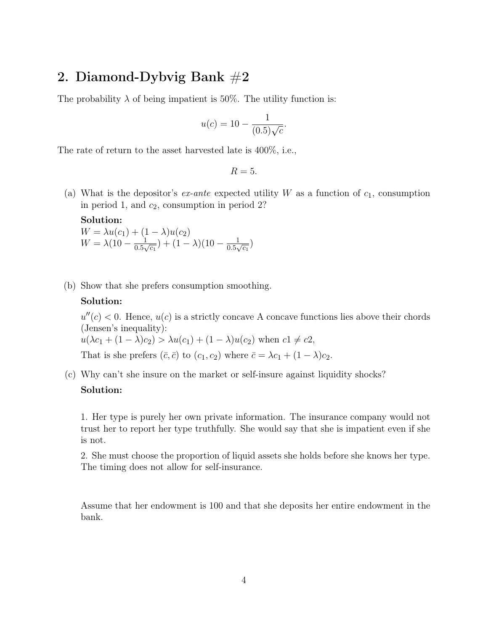# 2. Diamond-Dybvig Bank  $#2$

The probability  $\lambda$  of being impatient is 50%. The utility function is:

$$
u(c) = 10 - \frac{1}{(0.5)\sqrt{c}}.
$$

The rate of return to the asset harvested late is 400%, i.e.,

 $R=5$ .

(a) What is the depositor's  $ex$ -ante expected utility W as a function of  $c_1$ , consumption in period 1, and  $c_2$ , consumption in period 2?

Solution:  $W = \lambda u(c_1) + (1 - \lambda)u(c_2)$  $W = \lambda(10 - \frac{1}{0.5})$  $\frac{1}{0.5\sqrt{c_1}}$ ) +  $(1 - \lambda)(10 - \frac{1}{0.5\sqrt{c_1}})$  $\frac{1}{0.5\sqrt{c_1}}$ 

(b) Show that she prefers consumption smoothing.

#### Solution:

 $u''(c) < 0$ . Hence,  $u(c)$  is a strictly concave A concave functions lies above their chords (Jensen's inequality):

 $u(\lambda c_1 + (1 - \lambda)c_2) > \lambda u(c_1) + (1 - \lambda)u(c_2)$  when  $c_1 \neq c_2$ ,

That is she prefers  $(\bar{c}, \bar{c})$  to  $(c_1, c_2)$  where  $\bar{c} = \lambda c_1 + (1 - \lambda)c_2$ .

(c) Why can't she insure on the market or self-insure against liquidity shocks?

### Solution:

1. Her type is purely her own private information. The insurance company would not trust her to report her type truthfully. She would say that she is impatient even if she is not.

2. She must choose the proportion of liquid assets she holds before she knows her type. The timing does not allow for self-insurance.

Assume that her endowment is 100 and that she deposits her entire endowment in the bank.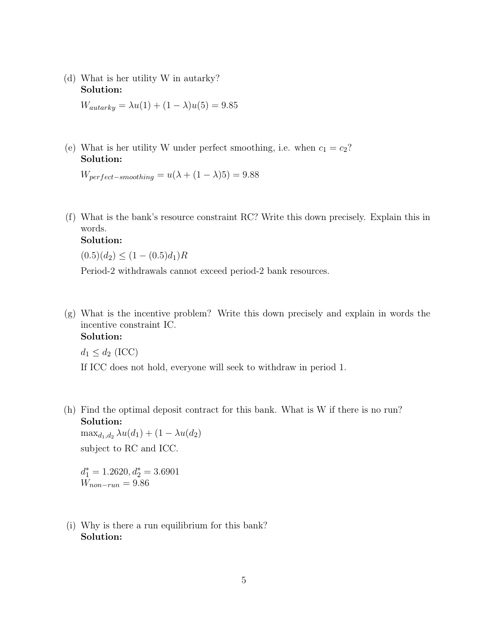(d) What is her utility W in autarky? Solution:

 $W_{autarky} = \lambda u(1) + (1 - \lambda)u(5) = 9.85$ 

(e) What is her utility W under perfect smoothing, i.e. when  $c_1 = c_2$ ? Solution:

 $W_{perfect-smoothing} = u(\lambda + (1 - \lambda)5) = 9.88$ 

(f) What is the bank's resource constraint RC? Write this down precisely. Explain this in words.

### Solution:

 $(0.5)(d_2) \leq (1 - (0.5)d_1)R$ 

Period-2 withdrawals cannot exceed period-2 bank resources.

(g) What is the incentive problem? Write this down precisely and explain in words the incentive constraint IC.

### Solution:

 $d_1 \leq d_2$  (ICC)

If ICC does not hold, everyone will seek to withdraw in period 1.

(h) Find the optimal deposit contract for this bank. What is W if there is no run? Solution:

 $\max_{d_1, d_2} \lambda u(d_1) + (1 - \lambda u(d_2))$ subject to RC and ICC.

 $d_1^* = 1.2620, d_2^* = 3.6901$  $W_{non-run}=9.86$ 

(i) Why is there a run equilibrium for this bank? Solution: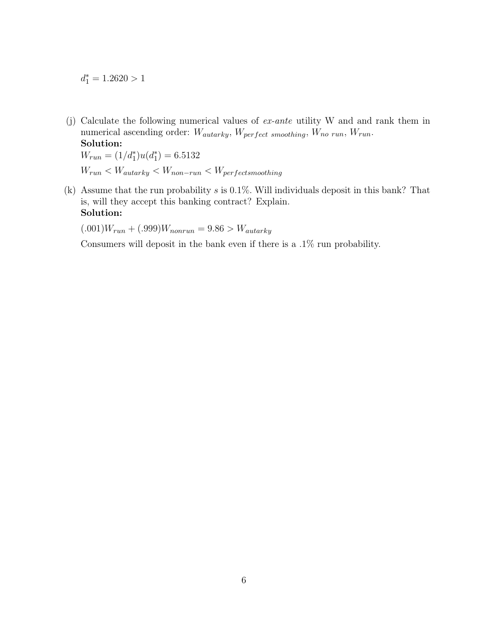$d_1^* = 1.2620 > 1$ 

(j) Calculate the following numerical values of ex-ante utility W and and rank them in numerical ascending order:  $W_{autarky}$ ,  $W_{perfect~smoothing}$ ,  $W_{no~run}$ ,  $W_{run}$ .

Solution:  $W_{run} = (1/d_1^*)u(d_1^*) = 6.5132$  $W_{run} < W_{autarky} < W_{non-run} < W_{perfect smoothing}$ 

(k) Assume that the run probability  $s$  is 0.1%. Will individuals deposit in this bank? That is, will they accept this banking contract? Explain. Solution:

 $(.001)W_{run} + (.999)W_{nonrun} = 9.86 > W_{autarky}$ 

Consumers will deposit in the bank even if there is a .1% run probability.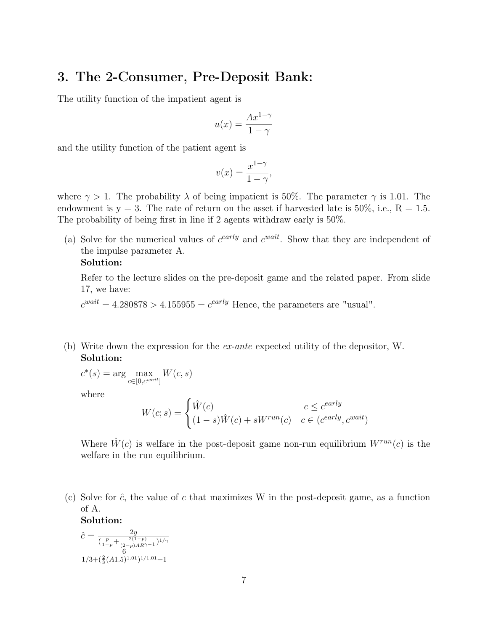## 3. The 2-Consumer, Pre-Deposit Bank:

The utility function of the impatient agent is

$$
u(x) = \frac{Ax^{1-\gamma}}{1-\gamma}
$$

and the utility function of the patient agent is

$$
v(x) = \frac{x^{1-\gamma}}{1-\gamma},
$$

where  $\gamma > 1$ . The probability  $\lambda$  of being impatient is 50%. The parameter  $\gamma$  is 1.01. The endowment is  $y = 3$ . The rate of return on the asset if harvested late is 50%, i.e.,  $R = 1.5$ . The probability of being first in line if 2 agents withdraw early is 50%.

(a) Solve for the numerical values of  $c^{early}$  and  $c^{wait}$ . Show that they are independent of the impulse parameter A.

### Solution:

Refer to the lecture slides on the pre-deposit game and the related paper. From slide 17, we have:

 $c^{wait} = 4.280878 > 4.155955 = c^{early}$  Hence, the parameters are "usual".

(b) Write down the expression for the ex-ante expected utility of the depositor, W. Solution:

 $c^*(s) = \arg \max$  $c \in [0, c^{wait}]$  $W(c, s)$ 

where

$$
W(c; s) = \begin{cases} \hat{W}(c) & c \leq c^{early} \\ (1 - s)\hat{W}(c) + sW^{run}(c) & c \in (c^{early}, c^{wait}) \end{cases}
$$

Where  $\hat{W}(c)$  is welfare in the post-deposit game non-run equilibrium  $W^{run}(c)$  is the welfare in the run equilibrium.

(c) Solve for  $\hat{c}$ , the value of c that maximizes W in the post-deposit game, as a function of A.

Solution:

$$
\hat{c} = \frac{2y}{\left(\frac{p}{1-p} + \frac{2(1-p)}{(2-p)AR^{\gamma - 1}}\right)^{1/\gamma}}
$$

$$
\frac{6}{1/3 + \left(\frac{2}{3}(A1.5)^{1.01}\right)^{1/1.01} + 1}
$$